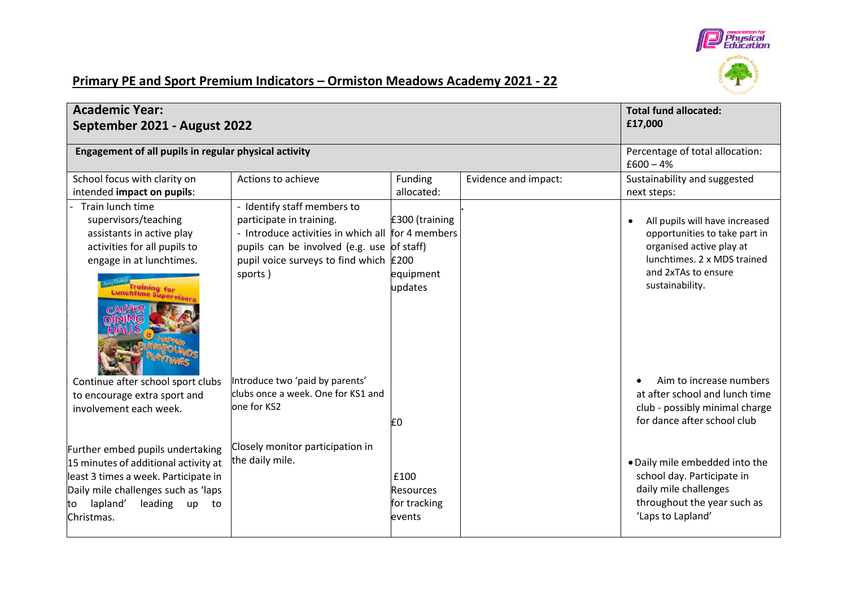

## **Primary PE and Sport Premium Indicators – Ormiston Meadows Academy 2021 - 22**

| <b>Academic Year:</b><br>September 2021 - August 2022                                                                                                                                                                                                  |                                                                                                                                                                                                                                                                                                         |                                                    | <b>Total fund allocated:</b><br>£17,000 |                                                                                                                                                                                                                                                                                                    |
|--------------------------------------------------------------------------------------------------------------------------------------------------------------------------------------------------------------------------------------------------------|---------------------------------------------------------------------------------------------------------------------------------------------------------------------------------------------------------------------------------------------------------------------------------------------------------|----------------------------------------------------|-----------------------------------------|----------------------------------------------------------------------------------------------------------------------------------------------------------------------------------------------------------------------------------------------------------------------------------------------------|
| Engagement of all pupils in regular physical activity                                                                                                                                                                                                  |                                                                                                                                                                                                                                                                                                         |                                                    |                                         | Percentage of total allocation:<br>$£600 - 4%$                                                                                                                                                                                                                                                     |
| School focus with clarity on<br>intended impact on pupils:                                                                                                                                                                                             | Actions to achieve                                                                                                                                                                                                                                                                                      | Funding<br>allocated:                              | Evidence and impact:                    | Sustainability and suggested<br>next steps:                                                                                                                                                                                                                                                        |
| Train lunch time<br>supervisors/teaching<br>assistants in active play<br>activities for all pupils to<br>engage in at lunchtimes.<br>chtime Supervisors<br>Continue after school sport clubs<br>to encourage extra sport and<br>involvement each week. | - Identify staff members to<br>participate in training.<br>- Introduce activities in which all for 4 members<br>pupils can be involved (e.g. use of staff)<br>pupil voice surveys to find which £200<br>sports)<br>Introduce two 'paid by parents'<br>clubs once a week. One for KS1 and<br>one for KS2 | £300 (training<br>equipment<br>updates<br>E0       |                                         | All pupils will have increased<br>opportunities to take part in<br>organised active play at<br>lunchtimes. 2 x MDS trained<br>and 2xTAs to ensure<br>sustainability.<br>Aim to increase numbers<br>at after school and lunch time<br>club - possibly minimal charge<br>for dance after school club |
| Further embed pupils undertaking<br>15 minutes of additional activity at<br>least 3 times a week. Participate in<br>Daily mile challenges such as 'laps<br>lapland'<br>leading<br>up<br>to<br>to<br>Christmas.                                         | Closely monitor participation in<br>the daily mile.                                                                                                                                                                                                                                                     | £100<br><b>Resources</b><br>for tracking<br>events |                                         | . Daily mile embedded into the<br>school day. Participate in<br>daily mile challenges<br>throughout the year such as<br>'Laps to Lapland'                                                                                                                                                          |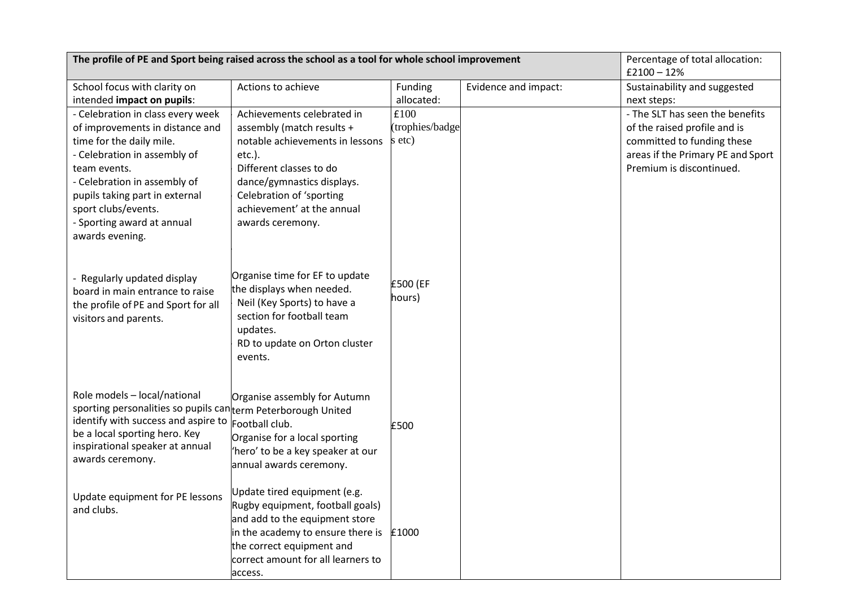| The profile of PE and Sport being raised across the school as a tool for whole school improvement                                                                                                                                                                       |                                                                                                                                                                                                                                                |                                   |                      | Percentage of total allocation:<br>$£2100 - 12%$                                                                                                               |
|-------------------------------------------------------------------------------------------------------------------------------------------------------------------------------------------------------------------------------------------------------------------------|------------------------------------------------------------------------------------------------------------------------------------------------------------------------------------------------------------------------------------------------|-----------------------------------|----------------------|----------------------------------------------------------------------------------------------------------------------------------------------------------------|
| School focus with clarity on<br>intended impact on pupils:                                                                                                                                                                                                              | Actions to achieve                                                                                                                                                                                                                             | Funding<br>allocated:             | Evidence and impact: | Sustainability and suggested<br>next steps:                                                                                                                    |
| - Celebration in class every week<br>of improvements in distance and<br>time for the daily mile.<br>- Celebration in assembly of<br>team events.<br>- Celebration in assembly of<br>pupils taking part in external<br>sport clubs/events.<br>- Sporting award at annual | Achievements celebrated in<br>assembly (match results +<br>notable achievements in lessons<br>$etc.$ ).<br>Different classes to do<br>dance/gymnastics displays.<br>Celebration of 'sporting<br>achievement' at the annual<br>awards ceremony. | £100<br>(trophies/badge<br>s etc) |                      | - The SLT has seen the benefits<br>of the raised profile and is<br>committed to funding these<br>areas if the Primary PE and Sport<br>Premium is discontinued. |
| awards evening.<br>- Regularly updated display<br>board in main entrance to raise<br>the profile of PE and Sport for all<br>visitors and parents.                                                                                                                       | Organise time for EF to update<br>the displays when needed.<br>Neil (Key Sports) to have a<br>section for football team<br>updates.<br>RD to update on Orton cluster<br>events.                                                                | £500 (EF<br>hours)                |                      |                                                                                                                                                                |
| Role models - local/national<br>sporting personalities so pupils can term Peterborough United<br>identify with success and aspire to<br>be a local sporting hero. Key<br>inspirational speaker at annual<br>awards ceremony.                                            | Organise assembly for Autumn<br>Football club.<br>Organise for a local sporting<br>'hero' to be a key speaker at our<br>annual awards ceremony.                                                                                                | £500                              |                      |                                                                                                                                                                |
| Update equipment for PE lessons<br>and clubs.                                                                                                                                                                                                                           | Update tired equipment (e.g.<br>Rugby equipment, football goals)<br>and add to the equipment store<br>in the academy to ensure there is<br>the correct equipment and<br>correct amount for all learners to<br>access.                          | £1000                             |                      |                                                                                                                                                                |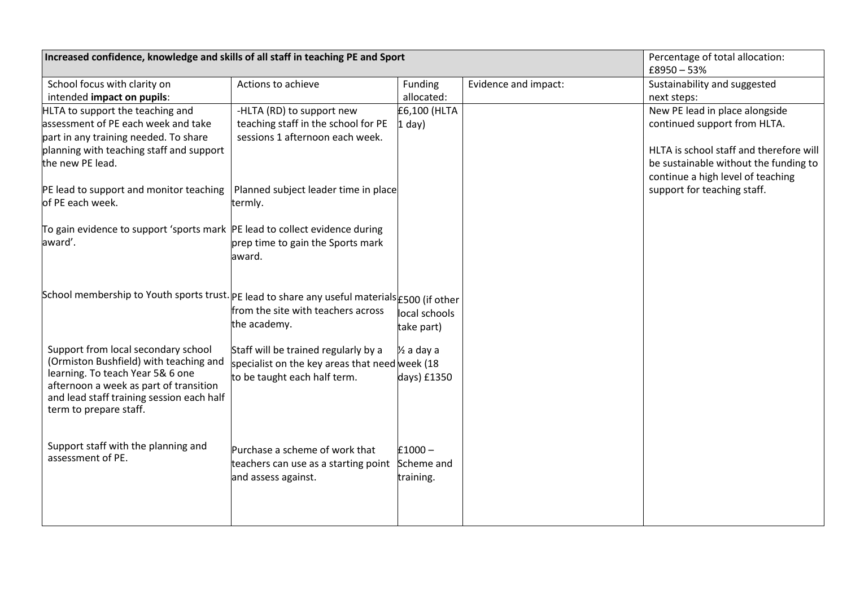| Increased confidence, knowledge and skills of all staff in teaching PE and Sport                                                                                                                                                                |                                                                                                                                                        |                                      |                      | Percentage of total allocation:<br>$£8950 - 53%$                                                                                                                                                                       |
|-------------------------------------------------------------------------------------------------------------------------------------------------------------------------------------------------------------------------------------------------|--------------------------------------------------------------------------------------------------------------------------------------------------------|--------------------------------------|----------------------|------------------------------------------------------------------------------------------------------------------------------------------------------------------------------------------------------------------------|
| School focus with clarity on<br>intended impact on pupils:                                                                                                                                                                                      | Actions to achieve                                                                                                                                     | Funding<br>allocated:                | Evidence and impact: | Sustainability and suggested<br>next steps:                                                                                                                                                                            |
| HLTA to support the teaching and<br>assessment of PE each week and take<br>part in any training needed. To share<br>planning with teaching staff and support<br>the new PE lead.<br>PE lead to support and monitor teaching<br>of PE each week. | -HLTA (RD) to support new<br>teaching staff in the school for PE<br>sessions 1 afternoon each week.<br>Planned subject leader time in place<br>termly. | £6,100 (HLTA<br>$1$ day)             |                      | New PE lead in place alongside<br>continued support from HLTA.<br>HLTA is school staff and therefore will<br>be sustainable without the funding to<br>continue a high level of teaching<br>support for teaching staff. |
| To gain evidence to support 'sports mark  PE lead to collect evidence during<br>award'.                                                                                                                                                         | prep time to gain the Sports mark<br>award.                                                                                                            |                                      |                      |                                                                                                                                                                                                                        |
| School membership to Youth sports trust. PE lead to share any useful materials £500 (if other                                                                                                                                                   | from the site with teachers across<br>the academy.                                                                                                     | local schools<br>take part)          |                      |                                                                                                                                                                                                                        |
| Support from local secondary school<br>(Ormiston Bushfield) with teaching and<br>learning. To teach Year 5& 6 one<br>afternoon a week as part of transition<br>and lead staff training session each half<br>term to prepare staff.              | Staff will be trained regularly by a<br>specialist on the key areas that need week (18<br>to be taught each half term.                                 | $\frac{1}{2}$ a day a<br>days) £1350 |                      |                                                                                                                                                                                                                        |
| Support staff with the planning and<br>assessment of PE.                                                                                                                                                                                        | Purchase a scheme of work that<br>teachers can use as a starting point Scheme and<br>and assess against.                                               | $£1000 -$<br>training.               |                      |                                                                                                                                                                                                                        |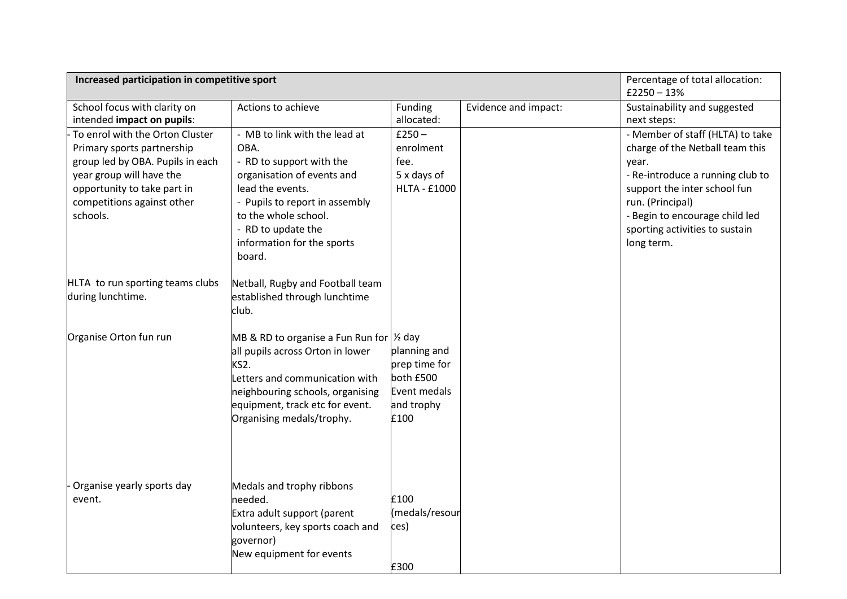| Increased participation in competitive sport                                                                                                                                                           |                                                                                                                                                                                                                                             |                                                                                  |                      | Percentage of total allocation:<br>$£2250 - 13%$                                                                                                                                                                                                       |
|--------------------------------------------------------------------------------------------------------------------------------------------------------------------------------------------------------|---------------------------------------------------------------------------------------------------------------------------------------------------------------------------------------------------------------------------------------------|----------------------------------------------------------------------------------|----------------------|--------------------------------------------------------------------------------------------------------------------------------------------------------------------------------------------------------------------------------------------------------|
| School focus with clarity on<br>intended impact on pupils:                                                                                                                                             | Actions to achieve                                                                                                                                                                                                                          | Funding<br>allocated:                                                            | Evidence and impact: | Sustainability and suggested<br>next steps:                                                                                                                                                                                                            |
| To enrol with the Orton Cluster<br>Primary sports partnership<br>group led by OBA. Pupils in each<br>year group will have the<br>opportunity to take part in<br>competitions against other<br>schools. | - MB to link with the lead at<br>OBA.<br>- RD to support with the<br>organisation of events and<br>lead the events.<br>- Pupils to report in assembly<br>to the whole school.<br>- RD to update the<br>information for the sports<br>board. | $£250 -$<br>enrolment<br>fee.<br>5 x days of<br><b>HLTA - £1000</b>              |                      | - Member of staff (HLTA) to take<br>charge of the Netball team this<br>year.<br>- Re-introduce a running club to<br>support the inter school fun<br>run. (Principal)<br>- Begin to encourage child led<br>sporting activities to sustain<br>long term. |
| HLTA to run sporting teams clubs<br>during lunchtime.                                                                                                                                                  | Netball, Rugby and Football team<br>established through lunchtime<br>club.                                                                                                                                                                  |                                                                                  |                      |                                                                                                                                                                                                                                                        |
| Organise Orton fun run                                                                                                                                                                                 | MB & RD to organise a Fun Run for $\frac{1}{2}$ day<br>all pupils across Orton in lower<br>KS2.<br>Letters and communication with<br>neighbouring schools, organising<br>equipment, track etc for event.<br>Organising medals/trophy.       | planning and<br>prep time for<br>both £500<br>Event medals<br>and trophy<br>£100 |                      |                                                                                                                                                                                                                                                        |
| Organise yearly sports day<br>event.                                                                                                                                                                   | Medals and trophy ribbons<br>needed.<br>Extra adult support (parent<br>volunteers, key sports coach and<br>governor)<br>New equipment for events                                                                                            | £100<br>(medals/resour<br>ces)<br>£300                                           |                      |                                                                                                                                                                                                                                                        |